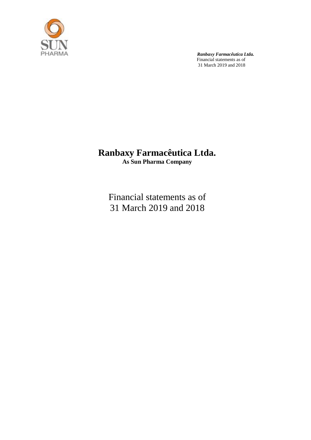

# **Ranbaxy Farmacêutica Ltda. As Sun Pharma Company**

Financial statements as of 31 March 2019 and 2018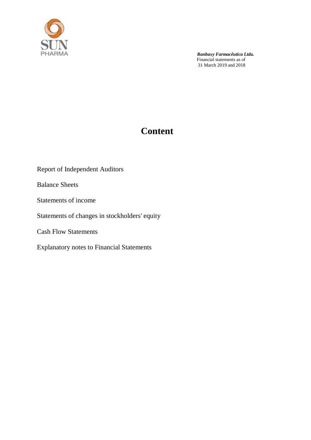

# **Content**

Report of Independent Auditors

Balance Sheets

Statements of income

## Statements of changes in stockholders' equity

Cash Flow Statements

Explanatory notes to Financial Statements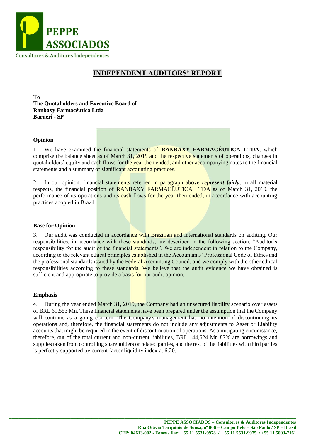

### **INDEPENDENT AUDITORS' REPORT**

**To The Quotaholders and Executive Board of Ranbaxy Farmacêutica Ltda Barueri - SP**

#### **Opinion**

1. We have examined the financial statements of **RANBAXY FARMACÊUTICA LTDA**, which comprise the balance sheet as of March 31, 2019 and the respective statements of operations, changes in quotaholders' equity and cash flows for the year then ended, and other accompanying notes to the financial statements and a summary of significant accounting practices.

2. In our opinion, financial statements referred in paragraph above *represent fairly*, in all material respects, the financial position of RANBAXY FARMACÊUTICA LTDA as of March 31, 2019, the performance of its operations and its cash flows for the year then ended, in accordance with accounting practices adopted in Brazil.

#### **Base for Opinion**

3. Our audit was conducted in accordance with Brazilian and international standards on auditing. Our responsibilities, in accordance with these standards, are described in the following section, "Auditor's responsibility for the audit of the financial statements". We are independent in relation to the Company, according to the relevant ethical principles established in the Accountants' Professional Code of Ethics and the professional standards issued by the Federal Accounting Council, and we comply with the other ethical responsibilities according to these standards. We believe that the audit evidence we have obtained is sufficient and appropriate to provide a basis for our audit opinion.

#### **Emphasis**

4. During the year ended March 31, 2019, the Company had an unsecured liability scenario over assets of BRL 69,553 Mn. These financial statements have been prepared under the assumption that the Company will continue as a going concern. The Company's management has no intention of discontinuing its operations and, therefore, the financial statements do not include any adjustments to Asset or Liability accounts that might be required in the event of discontinuation of operations. As a mitigating circumstance, therefore, out of the total current and non-current liabilities, BRL 144,624 Mn 87% are borrowings and supplies taken from controlling shareholders or related parties, and the rest of the liabilities with third parties is perfectly supported by current factor liquidity index at 6.20.

**\_\_\_\_\_\_\_\_\_\_\_\_\_\_\_\_\_\_\_\_\_\_\_\_\_\_\_\_\_\_\_\_\_\_\_\_\_\_\_\_\_\_\_\_\_\_\_\_\_\_\_\_\_\_\_\_\_\_\_\_\_\_\_\_\_\_\_\_\_\_\_\_\_\_\_\_\_\_\_\_\_\_\_\_\_\_\_\_\_\_\_\_\_\_\_\_\_\_\_\_\_\_\_\_\_\_\_\_\_\_\_\_\_\_\_\_\_\_\_\_\_\_**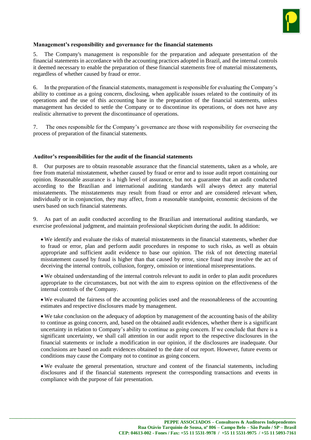

#### **Management's responsibility and governance for the financial statements**

5. The Company's management is responsible for the preparation and adequate presentation of the financial statements in accordance with the accounting practices adopted in Brazil, and the internal controls it deemed necessary to enable the preparation of these financial statements free of material misstatements, regardless of whether caused by fraud or error.

6. In the preparation of the financial statements, management is responsible for evaluating the Company's ability to continue as a going concern, disclosing, when applicable issues related to the continuity of its operations and the use of this accounting base in the preparation of the financial statements, unless management has decided to settle the Company or to discontinue its operations, or does not have any realistic alternative to prevent the discontinuance of operations.

7. The ones responsible for the Company's governance are those with responsibility for overseeing the process of preparation of the financial statements.

#### **Auditor's responsibilities for the audit of the financial statements**

8. Our purposes are to obtain reasonable assurance that the financial statements, taken as a whole, are free from material misstatement, whether caused by fraud or error and to issue audit report containing our opinion. Reasonable assurance is a high level of assurance, but not a guarantee that an audit conducted according to the Brazilian and international auditing standards will always detect any material misstatements. The misstatements may result from fraud or error and are considered relevant when, individually or in conjunction, they may affect, from a reasonable standpoint, economic decisions of the users based on such financial statements.

9. As part of an audit conducted according to the Brazilian and international auditing standards, we exercise professional judgment, and maintain professional skepticism during the audit. In addition:

 We identify and evaluate the risks of material misstatements in the financial statements, whether due to fraud or error, plan and perform audit procedures in response to such risks, as well as obtain appropriate and sufficient audit evidence to base our opinion. The risk of not detecting material misstatement caused by fraud is higher than that caused by error, since fraud may involve the act of deceiving the internal controls, collusion, forgery, omission or intentional misrepresentations.

 We obtained understanding of the internal controls relevant to audit in order to plan audit procedures appropriate to the circumstances, but not with the aim to express opinion on the effectiveness of the internal controls of the Company.

 We evaluated the fairness of the accounting policies used and the reasonableness of the accounting estimates and respective disclosures made by management.

 We take conclusion on the adequacy of adoption by management of the accounting basis of the ability to continue as going concern, and, based on the obtained audit evidences, whether there is a significant uncertainty in relation to Company's ability to continue as going concern. If we conclude that there is a significant uncertainty, we shall call attention in our audit report to the respective disclosures in the financial statements or include a modification in our opinion, if the disclosures are inadequate. Our conclusions are based on audit evidences obtained to the date of our report. However, future events or conditions may cause the Company not to continue as going concern.

 We evaluate the general presentation, structure and content of the financial statements, including disclosures and if the financial statements represent the corresponding transactions and events in compliance with the purpose of fair presentation.

**\_\_\_\_\_\_\_\_\_\_\_\_\_\_\_\_\_\_\_\_\_\_\_\_\_\_\_\_\_\_\_\_\_\_\_\_\_\_\_\_\_\_\_\_\_\_\_\_\_\_\_\_\_\_\_\_\_\_\_\_\_\_\_\_\_\_\_\_\_\_\_\_\_\_\_\_\_\_\_\_\_\_\_\_\_\_\_\_\_\_\_\_\_\_\_\_\_\_\_\_\_\_\_\_\_\_\_\_\_\_\_\_\_\_\_\_\_\_\_\_\_\_**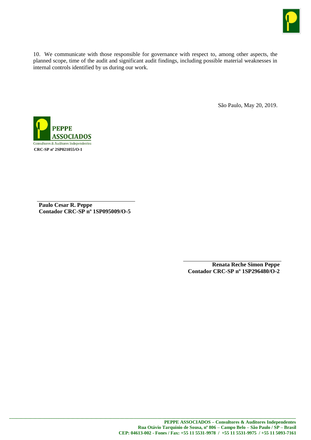

10. We communicate with those responsible for governance with respect to, among other aspects, the planned scope, time of the audit and significant audit findings, including possible material weaknesses in internal controls identified by us during our work.

São Paulo, May 20, 2019.



**Paulo Cesar R. Peppe Contador CRC-SP nº 1SP095009/O-5**

> **Renata Reche Simon Peppe Contador CRC-SP nº 1SP296480/O-2**

**\_\_\_\_\_\_\_\_\_\_\_\_\_\_\_\_\_\_\_\_\_\_\_\_\_\_\_\_\_\_\_\_\_\_\_\_\_\_\_\_\_\_\_\_\_\_\_\_\_\_\_\_\_\_\_\_\_\_\_\_\_\_\_\_\_\_\_\_\_\_\_\_\_\_\_\_\_\_\_\_\_\_\_\_\_\_\_\_\_\_\_\_\_\_\_\_\_\_\_\_\_\_\_\_\_\_\_\_\_\_\_\_\_\_\_\_\_\_\_\_\_\_**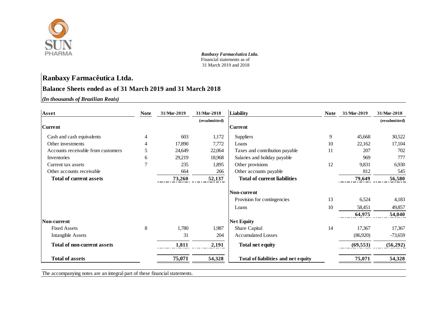

## **Ranbaxy Farmacêutica Ltda.**

### **Balance Sheets ended as of 31 March 2019 and 31 March 2018**

*(In thousands of Brazilian Reais)* **1,000**

| Asset                              | <b>Note</b> | 31/Mar-2019 | 31/Mar-2018   | <b>Liability</b>                    | <b>Note</b> | 31/Mar-2019 | 31/Mar-2018   |
|------------------------------------|-------------|-------------|---------------|-------------------------------------|-------------|-------------|---------------|
|                                    |             |             | (resubmitted) |                                     |             |             | (resubmitted) |
| <b>Current</b>                     |             |             |               | <b>Current</b>                      |             |             |               |
| Cash and cash equivalents          | 4           | 603         | 1,172         | Suppliers                           | 9           | 45,668      | 30,522        |
| Other investments                  |             | 17,890      | 7,772         | Loans                               | 10          | 22,162      | 17,104        |
| Accounts receivable from customers | 5           | 24,649      | 22,064        | Taxes and contribution payable      | 11          | 207         | 702           |
| Inventories                        | 6           | 29,219      | 18,968        | Salaries and holiday payable        |             | 969         | 777           |
| Current tax assets                 | $\tau$      | 235         | 1,895         | Other provisions                    | 12          | 9,831       | 6,930         |
| Other accounts receivable          |             | 664         | 266           | Other accounts payable              |             | 812         | 545           |
| <b>Total of current assets</b>     |             | 73,260      | 52,137        | <b>Total of current liabilities</b> |             | 79,649      | 56,580        |
|                                    |             |             |               | Non-current                         |             |             |               |
|                                    |             |             |               | Provision for contingencies         | 13          | 6,524       | 4,183         |
|                                    |             |             |               | Loans                               | 10          | 58,451      | 49,857        |
|                                    |             |             |               |                                     |             | 64,975      | 54,040        |
| Non-current                        |             |             |               | <b>Net Equity</b>                   |             |             |               |
| <b>Fixed Assets</b>                | 8           | 1,780       | 1,987         | Share Capital                       | 14          | 17,367      | 17,367        |
| <b>Intangible Assets</b>           |             | 31          | 204           | <b>Accumulated Losses</b>           |             | (86,920)    | $-73,659$     |
| <b>Total of non-current assets</b> |             | 1,811       | 2,191         | <b>Total net equity</b>             |             | (69, 553)   | (56, 292)     |
| <b>Total of assets</b>             |             | 75,071      | 54,328        | Total of liabilities and net equity |             | 75,071      | 54,328        |

The accompanying notes are an integral part of these financial statements.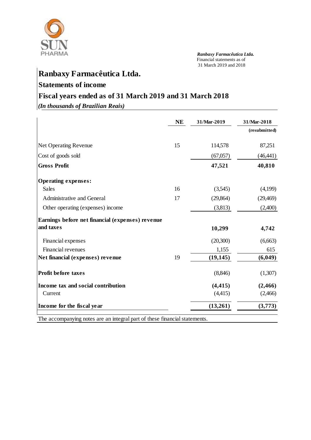

# **Ranbaxy Farmacêutica Ltda.**

## **Statements of income**

# **Fiscal years ended as of 31 March 2019 and 31 March 2018**

*(In thousands of Brazilian Reais)*

|                                                                      | <b>NE</b> | 31/Mar-2019 | 31/Mar-2018   |
|----------------------------------------------------------------------|-----------|-------------|---------------|
|                                                                      |           |             | (resubmitted) |
| <b>Net Operating Revenue</b>                                         | 15        | 114,578     | 87,251        |
| Cost of goods sold                                                   |           | (67,057)    | (46, 441)     |
| <b>Gross Profit</b>                                                  |           | 47,521      | 40,810        |
| <b>Operating expenses:</b>                                           |           |             |               |
| <b>Sales</b>                                                         | 16        | (3,545)     | (4,199)       |
| Administrative and General                                           | 17        | (29, 864)   | (29, 469)     |
| Other operating (expenses) income                                    |           | (3,813)     | (2,400)       |
| Earnings before net financial (expenses) revenue                     |           |             |               |
| and taxes                                                            |           | 10,299      | 4,742         |
| Financial expenses                                                   |           | (20,300)    | (6,663)       |
| Financial revenues                                                   |           | 1,155       | 615           |
| Net financial (expenses) revenue                                     | 19        | (19, 145)   | (6,049)       |
| <b>Profit before taxes</b>                                           |           | (8,846)     | (1,307)       |
| Income tax and social contribution                                   |           | (4, 415)    | (2, 466)      |
| Current                                                              |           | (4,415)     | (2,466)       |
| Income for the fiscal year                                           |           | (13,261)    | (3,773)       |
| The cooperative rates are on integral next of these financial states |           |             |               |

The accompanying notes are an integral part of these financial statements.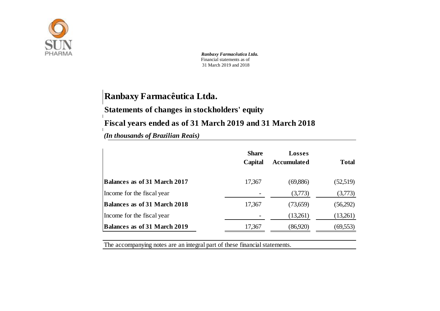

# **Ranbaxy Farmacêutica Ltda.**

**Statements of changes in stockholders' equity**

**Fiscal years ended as of 31 March 2019 and 31 March 2018**

*(In thousands of Brazilian Reais)* 

|                                     | <b>Share</b><br>Capital | <b>Losses</b><br><b>Accumulated</b> | <b>Total</b> |
|-------------------------------------|-------------------------|-------------------------------------|--------------|
| <b>Balances as of 31 March 2017</b> | 17,367                  | (69,886)                            | (52,519)     |
| Income for the fiscal year          |                         | (3,773)                             | (3,773)      |
| <b>Balances as of 31 March 2018</b> | 17,367                  | (73,659)                            | (56,292)     |
| Income for the fiscal year          |                         | (13,261)                            | (13,261)     |
| <b>Balances as of 31 March 2019</b> | 17,367                  | (86,920)                            | (69, 553)    |

The accompanying notes are an integral part of these financial statements.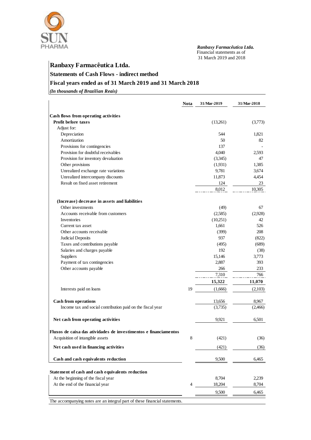

# **Ranbaxy Farmacêutica Ltda. Statements of Cash Flows - indirect method Fiscal years ended as of 31 March 2019 and 31 March 2018**

*(In thousands of Brazilian Reais)* **1,000**

|                                                                            | <b>Nota</b> | 31/Mar-2019 | 31/Mar-2018 |
|----------------------------------------------------------------------------|-------------|-------------|-------------|
|                                                                            |             |             |             |
| Cash flows from operating activities<br><b>Profit before taxes</b>         |             | (13,261)    | (3,773)     |
| Adjust for:                                                                |             |             |             |
| Depreciation                                                               |             | 544         | 1,821       |
| Amortization                                                               |             | 50          | 82          |
| Provisions for contingencies                                               |             | 137         |             |
| Provision for doubtful receivables                                         |             | 4,040       | 2.593       |
| Provision for inventory devaluation                                        |             | (3,345)     | 47          |
| Other provisions                                                           |             | (1.931)     | 1,385       |
| Unrealized exchange rate variations                                        |             | 9,781       | 3,674       |
| Unrealized intercompany discounts                                          |             | 11,873      | 4,454       |
| Result on fixed asset retirement                                           |             | 124         | 23          |
|                                                                            |             | 8,012       | 10,305      |
| (Increase) decrease in assets and liabilities                              |             |             |             |
| Other investments                                                          |             | (49)        | 67          |
| Accounts receivable from customers                                         |             | (2,585)     | (2,928)     |
| Inventories                                                                |             | (10,251)    | 42          |
| Current tax asset                                                          |             | 1,661       | 526         |
| Other accounts receivable                                                  |             | (399)       | 208         |
| <b>Judicial Deposits</b>                                                   |             | 937         | (822)       |
| Taxes and contributions payable                                            |             | (495)       | (689)       |
| Salaries and charges payable                                               |             | 192         | (38)        |
| Suppliers                                                                  |             | 15,146      | 3,773       |
| Payment of tax contingencies                                               |             | 2,887       | 393         |
| Other accounts payable                                                     |             | 266         | 233         |
|                                                                            |             | 7,310       | 766         |
|                                                                            |             |             | 11,070      |
|                                                                            |             | 15,322      |             |
| Interests paid on loans                                                    | 19          | (1,666)     | (2,103)     |
| Cash from operations                                                       |             | 13,656      | 8,967       |
| Income tax and social contribution paid on the fiscal year                 |             | (3,735)     | (2,466)     |
| Net cash from operating activities                                         |             | 9,921       | 6,501       |
| Fluxos de caixa das atividades de investimentos e financiamentos           |             |             |             |
| Acquisition of intangible assets                                           | 8           | (421)       | (36)        |
| Net cash used in financing activities                                      |             | (421)       | (36)        |
| Cash and cash equivalents reduction                                        |             | 9,500       | 6,465       |
| Statement of cash and cash equivalents reduction                           |             |             |             |
| At the beginning of the fiscal year                                        |             | 8,704       | 2,239       |
| At the end of the financial year                                           | 4           | 18,204      | 8,704       |
|                                                                            |             | 9,500       | 6,465       |
| The accompanying notes are an integral part of these financial statements. |             |             |             |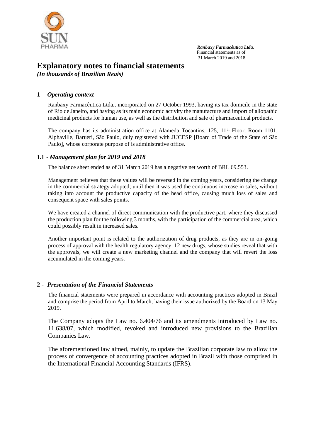

## **Explanatory notes to financial statements**

*(In thousands of Brazilian Reais)*

#### **1 -** *Operating context*

Ranbaxy Farmacêutica Ltda., incorporated on 27 October 1993, having its tax domicile in the state of Rio de Janeiro, and having as its main economic activity the manufacture and import of allopathic medicinal products for human use, as well as the distribution and sale of pharmaceutical products.

The company has its administration office at Alameda Tocantins,  $125$ ,  $11<sup>th</sup>$  Floor, Room 1101, Alphaville, Barueri, São Paulo, duly registered with JUCESP [Board of Trade of the State of São Paulo], whose corporate purpose of is administrative office.

#### **1.1 -** *Management plan for 2019 and 2018*

The balance sheet ended as of 31 March 2019 has a negative net worth of BRL 69.553.

Management believes that these values will be reversed in the coming years, considering the change in the commercial strategy adopted; until then it was used the continuous increase in sales, without taking into account the productive capacity of the head office, causing much loss of sales and consequent space with sales points.

We have created a channel of direct communication with the productive part, where they discussed the production plan for the following 3 months, with the participation of the commercial area, which could possibly result in increased sales.

Another important point is related to the authorization of drug products, as they are in on-going process of approval with the health regulatory agency, 12 new drugs, whose studies reveal that with the approvals, we will create a new marketing channel and the company that will revert the loss accumulated in the coming years.

#### **2 -** *Presentation of the Financial Statements*

The financial statements were prepared in accordance with accounting practices adopted in Brazil and comprise the period from April to March, having their issue authorized by the Board on 13 May 2019.

The Company adopts the Law no. 6.404/76 and its amendments introduced by Law no. 11.638/07, which modified, revoked and introduced new provisions to the Brazilian Companies Law.

The aforementioned law aimed, mainly, to update the Brazilian corporate law to allow the process of convergence of accounting practices adopted in Brazil with those comprised in the International Financial Accounting Standards (IFRS).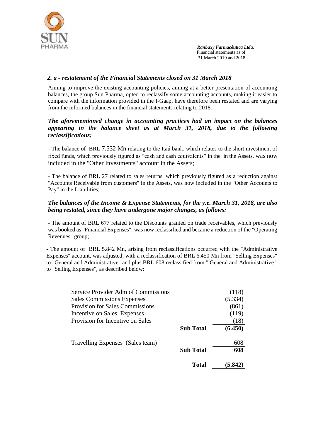

#### *2. a - restatement of the Financial Statements closed on 31 March 2018*

Aiming to improve the existing accounting policies, aiming at a better presentation of accounting balances, the group Sun Pharma, opted to reclassify some accounting accounts, making it easier to compare with the information provided in the I-Gaap, have therefore been restated and are varying from the informed balances in the financial statements relating to 2018.

#### *The aforementioned change in accounting practices had an impact on the balances appearing in the balance sheet as at March 31, 2018, due to the following reclassifications:*

- The balance of BRL 7.532 Mn relating to the Itaú bank, which relates to the short investment of fixed funds, which previously figured as "cash and cash equivalents" in the in the Assets, was now included in the "Other Investments" account in the Assets;

- The balance of BRL 27 related to sales returns, which previously figured as a reduction against "Accounts Receivable from customers" in the Assets, was now included in the "Other Accounts to Pay" in the Liabilities;

#### *The balances of the Income & Expense Statements, for the y.e. March 31, 2018, are also being restated, since they have undergone major changes, as follows:*

- The amount of BRL 677 related to the Discounts granted on trade receivables, which previously was booked as "Financial Expenses", was now reclassified and became a reduction of the "Operating Revenues" group;

- The amount of BRL 5.842 Mn, arising from reclassifications occurred with the "Administrative Expenses" account, was adjusted, with a reclassification of BRL 6.450 Mn from "Selling Expenses" to "General and Administrative" and plus BRL 608 reclassified from " General and Administrative " to "Selling Expenses", as described below:

| Service Provider Adm of Commissions    |                  | (118)   |
|----------------------------------------|------------------|---------|
| <b>Sales Commissions Expenses</b>      |                  | (5.334) |
| <b>Provision for Sales Commissions</b> |                  | (861)   |
| Incentive on Sales Expenses            |                  | (119)   |
| Provision for Incentive on Sales       |                  | (18)    |
|                                        | <b>Sub</b> Total | (6.450) |
| Travelling Expenses (Sales team)       |                  | 608     |
|                                        | <b>Sub Total</b> | 608     |
|                                        | Total            | (5.842) |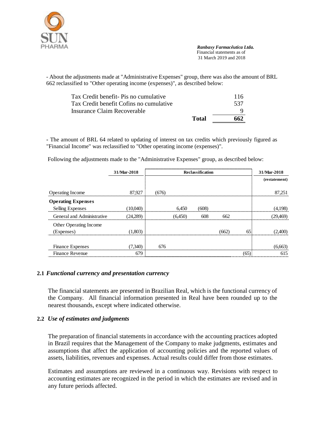

- About the adjustments made at "Administrative Expenses" group, there was also the amount of BRL 662 reclassified to "Other operating income (expenses)", as described below:

|                                         | Total | 662  |
|-----------------------------------------|-------|------|
| Insurance Claim Recoverable             |       |      |
| Tax Credit benefit Cofins no cumulative |       | -537 |
| Tax Credit benefit- Pis no cumulative   |       | 116  |
|                                         |       |      |

**-** The amount of BRL 64 related to updating of interest on tax credits which previously figured as "Financial Income" was reclassified to "Other operating income (expenses)".

Following the adjustments made to the "Administrative Expenses" group, as described below:

|                            | 31/Mar-2018 |       |         | Reclassification |       |      | 31/Mar-2018   |
|----------------------------|-------------|-------|---------|------------------|-------|------|---------------|
|                            |             |       |         |                  |       |      | (restatement) |
|                            |             |       |         |                  |       |      |               |
| Operating Income           | 87,927      | (676) |         |                  |       |      | 87,251        |
| <b>Operating Expenses</b>  |             |       |         |                  |       |      |               |
| Selling Expenses           | (10,040)    |       | 6.450   | (608)            |       |      | (4,198)       |
| General and Administrative | (24.289)    |       | (6,450) | 608              | 662   |      | (29, 469)     |
| Other Operating Income     |             |       |         |                  |       |      |               |
| (Expenses)                 | (1,803)     |       |         |                  | (662) | 65   | (2,400)       |
|                            |             |       |         |                  |       |      |               |
| Finance Expenses           | (7,340)     | 676   |         |                  |       |      | (6,663)       |
| <b>Finance Revenue</b>     | 679         |       |         |                  |       | (65) | 615           |

#### **2.1** *Functional currency and presentation currency*

The financial statements are presented in Brazilian Real, which is the functional currency of the Company. All financial information presented in Real have been rounded up to the nearest thousands, except where indicated otherwise.

#### **2.2** *Use of estimates and judgments*

The preparation of financial statements in accordance with the accounting practices adopted in Brazil requires that the Management of the Company to make judgments, estimates and assumptions that affect the application of accounting policies and the reported values of assets, liabilities, revenues and expenses. Actual results could differ from those estimates.

Estimates and assumptions are reviewed in a continuous way. Revisions with respect to accounting estimates are recognized in the period in which the estimates are revised and in any future periods affected.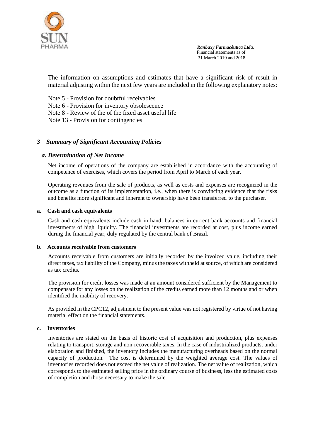

The information on assumptions and estimates that have a significant risk of result in material adjusting within the next few years are included in the following explanatory notes:

Note 5 - Provision for doubtful receivables Note 6 - Provision for inventory obsolescence Note 8 - Review of the of the fixed asset useful life Note 13 - Provision for contingencies

#### *3 Summary of Significant Accounting Policies*

#### *a. Determination of Net Income*

Net income of operations of the company are established in accordance with the accounting of competence of exercises, which covers the period from April to March of each year.

Operating revenues from the sale of products, as well as costs and expenses are recognized in the outcome as a function of its implementation, i.e., when there is convincing evidence that the risks and benefits more significant and inherent to ownership have been transferred to the purchaser.

#### **a. Cash and cash equivalents**

Cash and cash equivalents include cash in hand, balances in current bank accounts and financial investments of high liquidity. The financial investments are recorded at cost, plus income earned during the financial year, duly regulated by the central bank of Brazil.

#### **b. Accounts receivable from customers**

Accounts receivable from customers are initially recorded by the invoiced value, including their direct taxes, tax liability of the Company, minus the taxes withheld at source, of which are considered as tax credits.

The provision for credit losses was made at an amount considered sufficient by the Management to compensate for any losses on the realization of the credits earned more than 12 months and or when identified the inability of recovery.

As provided in the CPC12, adjustment to the present value was not registered by virtue of not having material effect on the financial statements.

#### **c. Inventories**

Inventories are stated on the basis of historic cost of acquisition and production, plus expenses relating to transport, storage and non-recoverable taxes. In the case of industrialized products, under elaboration and finished, the inventory includes the manufacturing overheads based on the normal capacity of production. The cost is determined by the weighted average cost. The values of inventories recorded does not exceed the net value of realization. The net value of realization, which corresponds to the estimated selling price in the ordinary course of business, less the estimated costs of completion and those necessary to make the sale.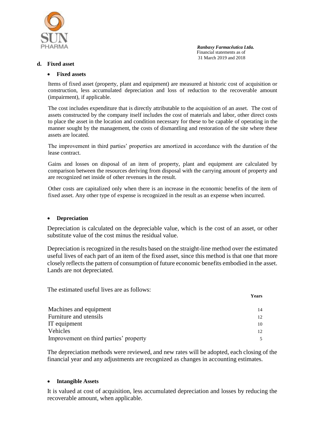

#### **d. Fixed asset**

#### **Fixed assets**

Items of fixed asset (property, plant and equipment) are measured at historic cost of acquisition or construction, less accumulated depreciation and loss of reduction to the recoverable amount (impairment), if applicable.

The cost includes expenditure that is directly attributable to the acquisition of an asset. The cost of assets constructed by the company itself includes the cost of materials and labor, other direct costs to place the asset in the location and condition necessary for these to be capable of operating in the manner sought by the management, the costs of dismantling and restoration of the site where these assets are located.

The improvement in third parties' properties are amortized in accordance with the duration of the lease contract.

Gains and losses on disposal of an item of property, plant and equipment are calculated by comparison between the resources deriving from disposal with the carrying amount of property and are recognized net inside of other revenues in the result.

Other costs are capitalized only when there is an increase in the economic benefits of the item of fixed asset. Any other type of expense is recognized in the result as an expense when incurred.

#### **Depreciation**

Depreciation is calculated on the depreciable value, which is the cost of an asset, or other substitute value of the cost minus the residual value.

Depreciation is recognized in the results based on the straight-line method over the estimated useful lives of each part of an item of the fixed asset, since this method is that one that more closely reflects the pattern of consumption of future economic benefits embodied in the asset. Lands are not depreciated.

The estimated useful lives are as follows:

|                                        | Years |
|----------------------------------------|-------|
|                                        |       |
| Machines and equipment                 |       |
| Furniture and utensils                 |       |
| IT equipment                           | 10    |
| Vehicles                               |       |
| Improvement on third parties' property |       |

The depreciation methods were reviewed, and new rates will be adopted, each closing of the financial year and any adjustments are recognized as changes in accounting estimates.

#### **Intangible Assets**

It is valued at cost of acquisition, less accumulated depreciation and losses by reducing the recoverable amount, when applicable.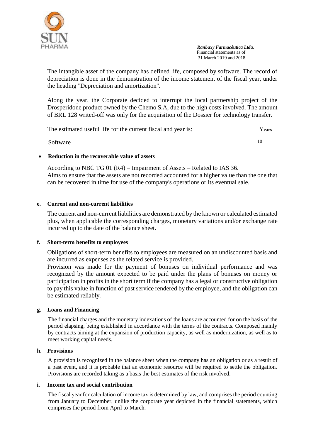

The intangible asset of the company has defined life, composed by software. The record of depreciation is done in the demonstration of the income statement of the fiscal year, under the heading "Depreciation and amortization".

Along the year, the Corporate decided to interrupt the local partnership project of the Drosperidone product owned by the Chemo S.A, due to the high costs involved. The amount of BRL 128 writed-off was only for the acquisition of the Dossier for technology transfer.

The estimated useful life for the current fiscal and year is: Years

Software 10

#### **Reduction in the recoverable value of assets**

According to NBC TG 01 (R4) – Impairment of Assets – Related to IAS 36. Aims to ensure that the assets are not recorded accounted for a higher value than the one that can be recovered in time for use of the company's operations or its eventual sale.

#### **e. Current and non-current liabilities**

The current and non-current liabilities are demonstrated by the known or calculated estimated plus, when applicable the corresponding charges, monetary variations and/or exchange rate incurred up to the date of the balance sheet.

#### **f. Short-term benefits to employees**

Obligations of short-term benefits to employees are measured on an undiscounted basis and are incurred as expenses as the related service is provided.

Provision was made for the payment of bonuses on individual performance and was recognized by the amount expected to be paid under the plans of bonuses on money or participation in profits in the short term if the company has a legal or constructive obligation to pay this value in function of past service rendered by the employee, and the obligation can be estimated reliably.

#### **g. Loans and Financing**

The financial charges and the monetary indexations of the loans are accounted for on the basis of the period elapsing, being established in accordance with the terms of the contracts. Composed mainly by contracts aiming at the expansion of production capacity, as well as modernization, as well as to meet working capital needs.

#### **h. Provisions**

A provision is recognized in the balance sheet when the company has an obligation or as a result of a past event, and it is probable that an economic resource will be required to settle the obligation. Provisions are recorded taking as a basis the best estimates of the risk involved.

#### **i. Income tax and social contribution**

The fiscal year for calculation of income tax is determined by law, and comprises the period counting from January to December, unlike the corporate year depicted in the financial statements, which comprises the period from April to March.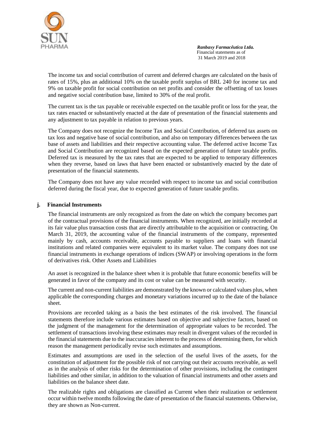

The income tax and social contribution of current and deferred charges are calculated on the basis of rates of 15%, plus an additional 10% on the taxable profit surplus of BRL 240 for income tax and 9% on taxable profit for social contribution on net profits and consider the offsetting of tax losses and negative social contribution base, limited to 30% of the real profit.

The current tax is the tax payable or receivable expected on the taxable profit or loss for the year, the tax rates enacted or substantively enacted at the date of presentation of the financial statements and any adjustment to tax payable in relation to previous years.

The Company does not recognize the Income Tax and Social Contribution, of deferred tax assets on tax loss and negative base of social contribution, and also on temporary differences between the tax base of assets and liabilities and their respective accounting value. The deferred active Income Tax and Social Contribution are recognized based on the expected generation of future taxable profits. Deferred tax is measured by the tax rates that are expected to be applied to temporary differences when they reverse, based on laws that have been enacted or substantively enacted by the date of presentation of the financial statements.

The Company does not have any value recorded with respect to income tax and social contribution deferred during the fiscal year, due to expected generation of future taxable profits.

#### **j. Financial Instruments**

The financial instruments are only recognized as from the date on which the company becomes part of the contractual provisions of the financial instruments. When recognized, are initially recorded at its fair value plus transaction costs that are directly attributable to the acquisition or contracting. On March 31, 2019, the accounting value of the financial instruments of the company, represented mainly by cash, accounts receivable, accounts payable to suppliers and loans with financial institutions and related companies were equivalent to its market value. The company does not use financial instruments in exchange operations of indices (SWAP) or involving operations in the form of derivatives risk. Other Assets and Liabilities

An asset is recognized in the balance sheet when it is probable that future economic benefits will be generated in favor of the company and its cost or value can be measured with security.

The current and non-current liabilities are demonstrated by the known or calculated values plus, when applicable the corresponding charges and monetary variations incurred up to the date of the balance sheet.

Provisions are recorded taking as a basis the best estimates of the risk involved. The financial statements therefore include various estimates based on objective and subjective factors, based on the judgment of the management for the determination of appropriate values to be recorded. The settlement of transactions involving these estimates may result in divergent values of the recorded in the financial statements due to the inaccuracies inherent to the process of determining them, for which reason the management periodically revise such estimates and assumptions.

Estimates and assumptions are used in the selection of the useful lives of the assets, for the constitution of adjustment for the possible risk of not carrying out their accounts receivable, as well as in the analysis of other risks for the determination of other provisions, including the contingent liabilities and other similar, in addition to the valuation of financial instruments and other assets and liabilities on the balance sheet date.

The realizable rights and obligations are classified as Current when their realization or settlement occur within twelve months following the date of presentation of the financial statements. Otherwise, they are shown as Non-current.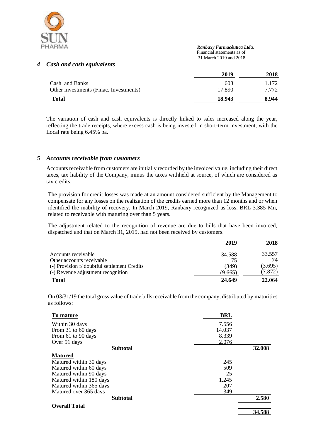

 *Ranbaxy Farmacêutica Ltda.* Financial statements as of

31 March 2019 and 2018

#### *4 Cash and cash equivalents*

| 2019   | 2018  |
|--------|-------|
| 603    | 1.172 |
| 17.890 | 7.772 |
| 18.943 | 8.944 |
|        |       |

The variation of cash and cash equivalents is directly linked to sales increased along the year, reflecting the trade receipts, where excess cash is being invested in short-term investment, with the Local rate being 6.45% pa.

#### *5 Accounts receivable from customers*

Accounts receivable from customers are initially recorded by the invoiced value, including their direct taxes, tax liability of the Company, minus the taxes withheld at source, of which are considered as tax credits.

The provision for credit losses was made at an amount considered sufficient by the Management to compensate for any losses on the realization of the credits earned more than 12 months and or when identified the inability of recovery. In March 2019, Ranbaxy recognized as loss, BRL 3.385 Mn, related to receivable with maturing over than 5 years.

The adjustment related to the recognition of revenue are due to bills that have been invoiced, dispatched and that on March 31, 2019, had not been received by customers.

|                                              | 2019    | 2018    |
|----------------------------------------------|---------|---------|
| Accounts receivable                          | 34.588  | 33.557  |
| Other accounts receivable                    | 75      | 74      |
| (-) Provision f/ doubtful settlement Credits | (349)   | (3.695) |
| (-) Revenue adjustment recognition           | (9.665) | (7.872) |
| <b>Total</b>                                 | 24.649  | 22,064  |

On 03/31/19 the total gross value of trade bills receivable from the company, distributed by maturities as follows:

| To mature               | <b>BRL</b> |        |
|-------------------------|------------|--------|
| Within 30 days          | 7.556      |        |
| From 31 to 60 days      | 14.037     |        |
| From 61 to 90 days      | 8.339      |        |
| Over 91 days            | 2.076      |        |
| <b>Subtotal</b>         |            | 32,008 |
| <b>Matured</b>          |            |        |
| Matured within 30 days  | 245        |        |
| Matured within 60 days  | 509        |        |
| Matured within 90 days  | 25         |        |
| Matured within 180 days | 1.245      |        |
| Matured within 365 days | 207        |        |
| Matured over 365 days   | 349        |        |
| <b>Subtotal</b>         |            | 2.580  |
| <b>Overall Total</b>    |            |        |
|                         |            | 34.588 |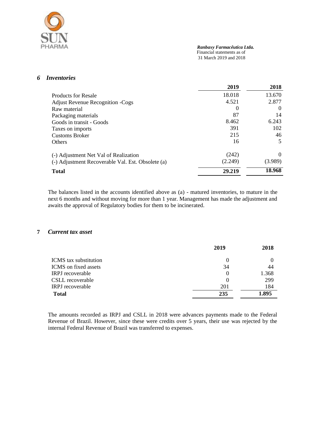

 *Ranbaxy Farmacêutica Ltda.* Financial statements as of

31 March 2019 and 2018

#### *6 Inventories*

|                                                   | 2019     | 2018     |
|---------------------------------------------------|----------|----------|
| <b>Products for Resale</b>                        | 18.018   | 13.670   |
| <b>Adjust Revenue Recognition -Cogs</b>           | 4.521    | 2.877    |
| Raw material                                      | $\theta$ | $\theta$ |
| Packaging materials                               | 87       | 14       |
| Goods in transit - Goods                          | 8.462    | 6.243    |
| Taxes on imports                                  | 391      | 102      |
| <b>Customs Broker</b>                             | 215      | 46       |
| <b>Others</b>                                     | 16       | 5        |
| (-) Adjustment Net Val of Realization             | (242)    | $\Omega$ |
| (-) Adjustment Recoverable Val. Est. Obsolete (a) | (2.249)  | (3.989)  |
| <b>Total</b>                                      | 29.219   | 18.968   |

The balances listed in the accounts identified above as (a) - matured inventories, to mature in the next 6 months and without moving for more than 1 year. Management has made the adjustment and awaits the approval of Regulatory bodies for them to be incinerated.

#### **7** *Current tax asset*

|                              | 2019     | 2018  |
|------------------------------|----------|-------|
| <b>ICMS</b> tax substitution | $\theta$ |       |
| ICMS on fixed assets         | 34       | 44    |
| <b>IRPJ</b> recoverable      | $\theta$ | 1.368 |
| CSLL recoverable             | 0        | 299   |
| <b>IRPJ</b> recoverable      | 201      | 184   |
| <b>Total</b>                 | 235      | 1.895 |

The amounts recorded as IRPJ and CSLL in 2018 were advances payments made to the Federal Revenue of Brazil. However, since these were credits over 5 years, their use was rejected by the internal Federal Revenue of Brazil was transferred to expenses.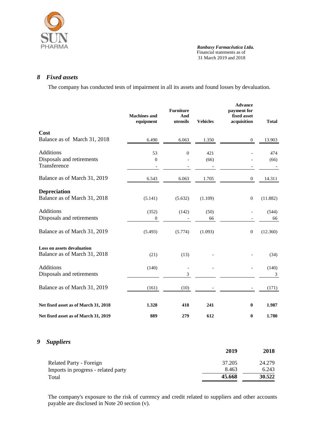

#### *8 Fixed assets*

The company has conducted tests of impairment in all its assets and found losses by devaluation.

|                                                                   | <b>Machines</b> and<br>equipment | <b>Furniture</b><br>And<br>utensils | <b>Vehicles</b> | <b>Advance</b><br>payment for<br>fixed asset<br>acquisition | <b>Total</b> |
|-------------------------------------------------------------------|----------------------------------|-------------------------------------|-----------------|-------------------------------------------------------------|--------------|
| Cost<br>Balance as of March 31, 2018                              | 6.490                            | 6.063                               | 1.350           | $\boldsymbol{0}$                                            | 13.903       |
| <b>Additions</b><br>Disposals and retirements<br>Transference     | 53<br>$\boldsymbol{0}$           | $\Omega$                            | 421<br>(66)     |                                                             | 474<br>(66)  |
| Balance as of March 31, 2019                                      | 6.543                            | 6.063                               | 1.705           | $\mathbf{0}$                                                | 14.311       |
| <b>Depreciation</b><br>Balance as of March 31, 2018               | (5.141)                          | (5.632)                             | (1.109)         | $\boldsymbol{0}$                                            | (11.882)     |
| <b>Additions</b><br>Disposals and retirements                     | (352)<br>$\boldsymbol{0}$        | (142)                               | (50)<br>66      |                                                             | (544)<br>66  |
| Balance as of March 31, 2019                                      | (5.493)                          | (5.774)                             | (1.093)         | $\mathbf{0}$                                                | (12.360)     |
| <b>Loss on assets devaluation</b><br>Balance as of March 31, 2018 | (21)                             | (13)                                |                 |                                                             | (34)         |
| <b>Additions</b><br>Disposals and retirements                     | (140)                            | 3                                   |                 |                                                             | (140)<br>3   |
| Balance as of March 31, 2019                                      | (161)                            | (10)                                |                 |                                                             | (171)        |
| Net fixed asset as of March 31, 2018                              | 1.328                            | 418                                 | 241             | $\bf{0}$                                                    | 1.987        |
| Net fixed asset as of March 31, 2019                              | 889                              | 279                                 | 612             | $\bf{0}$                                                    | 1.780        |

### *9 Suppliers*

|                                     | 2019   | 2018   |
|-------------------------------------|--------|--------|
| <b>Related Party - Foreign</b>      | 37.205 | 24.279 |
| Imports in progress - related party | 8.463  | 6.243  |
| Total                               | 45.668 | 30.522 |

The company's exposure to the risk of currency and credit related to suppliers and other accounts payable are disclosed in Note 20 section (v).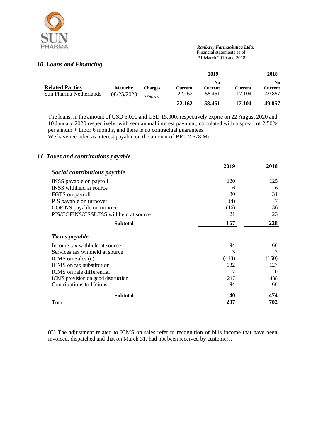

 *Ranbaxy Farmacêutica Ltda.* Financial statements as of

31 March 2019 and 2018

#### *10 Loans and Financing*

|                                                                                   |                        |                   |                                 | 2019                     |                          | 2018   |
|-----------------------------------------------------------------------------------|------------------------|-------------------|---------------------------------|--------------------------|--------------------------|--------|
| <b>Related Parties</b><br><b>Maturity</b><br>Sun Pharma Netherlands<br>08/25/2020 | Charges<br>$2.5%$ p.a. | Current<br>22.162 | No.<br><b>Current</b><br>58.451 | <b>Current</b><br>17.104 | No.<br>Current<br>49.857 |        |
|                                                                                   |                        |                   | 22.162                          | 58.451                   | 17.104                   | 49.857 |

The loans, in the amount of USD 5,000 and USD 15,000, respectively expire on 22 August 2020 and 10 January 2020 respectively, with semiannual interest payment, calculated with a spread of 2.50% per annum + Libor  $\vec{6}$  months, and there is no contractual guarantees.

We have recorded as interest payable on the amount of BRL 2.678 Mn.

#### *11 Taxes and contributions payable*

|                                        | 2019  | 2018     |
|----------------------------------------|-------|----------|
| Social contributions payable           |       |          |
| INSS payable on payroll                | 130   | 125      |
| INSS withheld at source                | 6     | 6        |
| FGTS on payroll                        | 30    | 31       |
| PIS payable on turnover                | (4)   | 7        |
| COFINS payable on turnover             | (16)  | 36       |
| PIS/COFINS/CSSL/ISS withheld at source | 21    | 23       |
| <b>Subtotal</b>                        | 167   | 228      |
| Taxes payable                          |       |          |
| Income tax withheld at source.         | 94    | 66       |
| Services tax withheld at source        | 3     | 3        |
| ICMS on Sales (c)                      | (443) | (160)    |
| ICMS on tax substitution               | 132   | 127      |
| ICMS on rate differential              | 7     | $\Omega$ |
| ICMS provision on good destruction     | 247   | 438      |
| <b>Contributions to Unions</b>         | 94    | 66       |
| <b>Subtotal</b>                        | 40    | 474      |
| Total                                  | 207   | 702      |

(C) The adjustment related to ICMS on sales refer to recognition of bills income that have been invoiced, dispatched and that on March 31, had not been received by customers.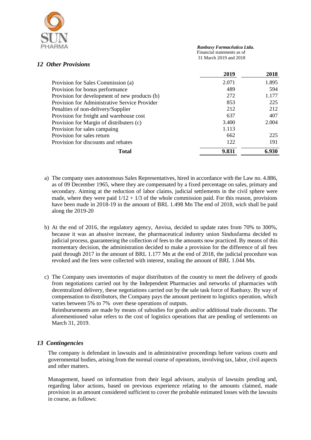

 *Ranbaxy Farmacêutica Ltda.* Financial statements as of

31 March 2019 and 2018

#### *12 Other Provisions*

|                                               | 2019  | 2018  |
|-----------------------------------------------|-------|-------|
| Provision for Sales Commission (a)            | 2.071 | 1.895 |
| Provision for bonus performance               | 489   | 594   |
| Provision for development of new products (b) | 272   | 1.177 |
| Provision for Administrative Service Provider | 853   | 225   |
| Penalties of non-delivery/Supplier            | 212   | 212   |
| Provision for freight and warehouse cost      | 637   | 407   |
| Provision for Margin of distributers (c)      | 3.400 | 2.004 |
| Provision for sales campaing                  | 1.113 |       |
| Provision for sales return                    | 662   | 225   |
| Provision for discounts and rebates           | 122   | 191   |
| Total                                         | 9.831 | 6.930 |

- a) The company uses autonomous Sales Representatives, hired in accordance with the Law no. 4.886, as of 09 December 1965, where they are compensated by a fixed percentage on sales, primary and secondary. Aiming at the reduction of labor claims, judicial settlements in the civil sphere were made, where they were paid  $1/12 + 1/3$  of the whole commission paid. For this reason, provisions have been made in 2018-19 in the amount of BRL 1.498 Mn The end of 2018, wich shall be paid along the 2019-20
- b) At the end of 2016, the regulatory agency, Anvisa, decided to update rates from 70% to 300%, because it was an abusive increase, the pharmaceutical industry union Sindusfarma decided to judicial process, guaranteeing the collection of fees to the amounts now practiced. By means of this momentary decision, the administration decided to make a provision for the difference of all fees paid through 2017 in the amount of BRL 1.177 Mn at the end of 2018, the judicial procedure was revoked and the fees were collected with interest, totaling the amount of BRL 1.044 Mn.
- c) The Company uses inventories of major distributors of the country to meet the delivery of goods from negotiations carried out by the Independent Pharmacies and networks of pharmacies with decentralized delivery, these negotiations carried out by the sale task force of Ranbaxy. By way of compensation to distributors, the Company pays the amount pertinent to logistics operation, which varies between 5% to 7% over these operations of outputs.

Reimbursements are made by means of subsidies for goods and/or additional trade discounts. The aforementioned value refers to the cost of logistics operations that are pending of settlements on March 31, 2019.

#### *13 Contingencies*

The company is defendant in lawsuits and in administrative proceedings before various courts and governmental bodies, arising from the normal course of operations, involving tax, labor, civil aspects and other matters.

Management, based on information from their legal advisors, analysis of lawsuits pending and, regarding labor actions, based on previous experience relating to the amounts claimed, made provision in an amount considered sufficient to cover the probable estimated losses with the lawsuits in course, as follows: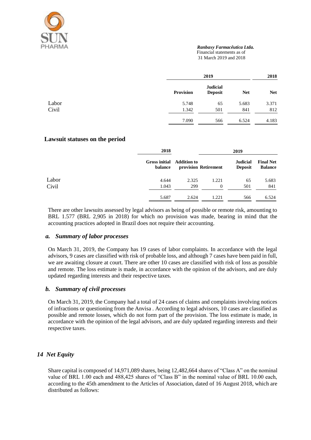

#### *Ranbaxy Farmacêutica Ltda.*

Financial statements as of

31 March 2019 and 2018

|       |           | 2019                              |            | 2018       |
|-------|-----------|-----------------------------------|------------|------------|
|       | Provision | <b>Judicial</b><br><b>Deposit</b> | <b>Net</b> | <b>Net</b> |
| Labor | 5.748     | 65                                | 5.683      | 3.371      |
| Civil | 1.342     | 501                               | 841        | 812        |
|       | 7.090     | 566                               | 6.524      | 4.183      |

#### **Lawsuit statuses on the period**

|       | 2018                                 | 2019  |                      |                                   |                                    |
|-------|--------------------------------------|-------|----------------------|-----------------------------------|------------------------------------|
|       | Gross initial Addition to<br>balance |       | provision Retirement | <b>Judicial</b><br><b>Deposit</b> | <b>Final Net</b><br><b>Balance</b> |
| Labor | 4.644                                | 2.325 | 1.221                | 65                                | 5.683                              |
| Civil | 1.043                                | 299   | $\theta$             | 501                               | 841                                |
|       | 5.687                                | 2.624 | 1.221                | 566                               | 6.524                              |

There are other lawsuits assessed by legal advisors as being of possible or remote risk, amounting to BRL 1.577 (BRL 2,905 in 2018) for which no provision was made, bearing in mind that the accounting practices adopted in Brazil does not require their accounting.

#### *a. Summary of labor processes*

On March 31, 2019, the Company has 19 cases of labor complaints. In accordance with the legal advisors, 9 cases are classified with risk of probable loss, and although 7 cases have been paid in full, we are awaiting closure at court. There are other 10 cases are classified with risk of loss as possible and remote. The loss estimate is made, in accordance with the opinion of the advisors, and are duly updated regarding interests and their respective taxes.

#### *b. Summary of civil processes*

On March 31, 2019, the Company had a total of 24 cases of claims and complaints involving notices of infractions or questioning from the Anvisa . According to legal advisors, 10 cases are classified as possible and remote losses, which do not form part of the provision. The loss estimate is made, in accordance with the opinion of the legal advisors, and are duly updated regarding interests and their respective taxes.

#### *14 Net Equity*

Share capital is composed of 14,971,089 shares, being 12,482,664 shares of "Class A" on the nominal value of BRL 1.00 each and 488,425 shares of "Class B" in the nominal value of BRL 10.00 each, according to the 45th amendment to the Articles of Association, dated of 16 August 2018, which are distributed as follows: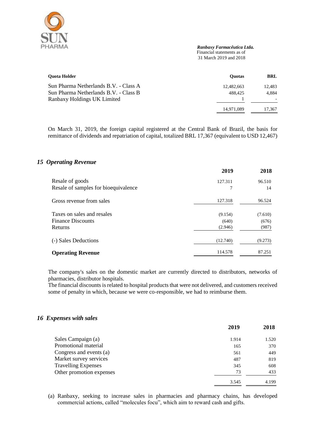

 *Ranbaxy Farmacêutica Ltda.* Financial statements as of

31 March 2019 and 2018

| <b>Ouota Holder</b>                   | <b>Ouotas</b> | BRL    |
|---------------------------------------|---------------|--------|
| Sun Pharma Netherlands B.V. - Class A | 12.482.663    | 12.483 |
| Sun Pharma Netherlands B.V. - Class B | 488.425       | 4.884  |
| Ranbaxy Holdings UK Limited           |               |        |
|                                       | 14,971,089    | 17,367 |

On March 31, 2019, the foreign capital registered at the Central Bank of Brazil, the basis for remittance of dividends and repatriation of capital, totalized BRL 17,367 (equivalent to USD 12,467)

#### *15 Operating Revenue*

|                                      | 2019     | 2018    |
|--------------------------------------|----------|---------|
| Resale of goods                      | 127.311  | 96.510  |
| Resale of samples for bioequivalence | 7        | 14      |
| Gross revenue from sales             | 127.318  | 96.524  |
| Taxes on sales and resales           | (9.154)  | (7.610) |
| <b>Finance Discounts</b>             | (640)    | (676)   |
| Returns                              | (2.946)  | (987)   |
| (-) Sales Deductions                 | (12.740) | (9.273) |
| <b>Operating Revenue</b>             | 114.578  | 87.251  |

The company's sales on the domestic market are currently directed to distributors, networks of pharmacies, distributor hospitals.

The financial discounts is related to hospital products that were not delivered, and customers received some of penalty in which, because we were co-responsible, we had to reimburse them.

#### *16 Expenses with sales*

| 2019  | 2018  |
|-------|-------|
| 1.914 | 1.520 |
| 165   | 370   |
| 561   | 449   |
| 487   | 819   |
| 345   | 608   |
| 73    | 433   |
| 3.545 | 4.199 |
|       |       |

(a) Ranbaxy, seeking to increase sales in pharmacies and pharmacy chains, has developed commercial actions, called "molecules focu", which aim to reward cash and gifts.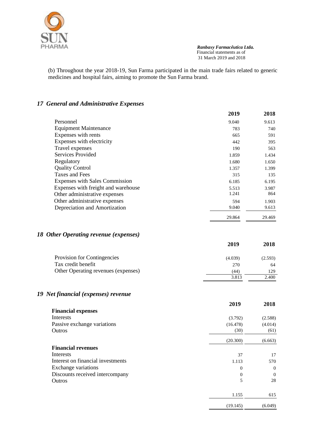

(b) Throughout the year 2018-19, Sun Farma participated in the main trade fairs related to generic medicines and hospital fairs, aiming to promote the Sun Farma brand.

### *17 General and Administrative Expenses*

|                                       | 2019   | 2018   |
|---------------------------------------|--------|--------|
| Personnel                             | 9.040  | 9.613  |
| <b>Equipment Maintenance</b>          | 783    | 740    |
| Expenses with rents                   | 665    | 591    |
| Expenses with electricity             | 442    | 395    |
| Travel expenses                       | 190    | 563    |
| Services Provided                     | 1.859  | 1.434  |
| Regulatory                            | 1.680  | 1.650  |
| <b>Quality Control</b>                | 1.357  | 1.399  |
| Taxes and Fees                        | 315    | 135    |
| <b>Expenses with Sales Commission</b> | 6.185  | 6.195  |
| Expenses with freight and warehouse   | 5.513  | 3.987  |
| Other administrative expenses         | 1.241  | 864    |
| Other administrative expenses         | 594    | 1.903  |
| Depreciation and Amortization         | 9.040  | 9.613  |
|                                       | 29.864 | 29.469 |

### *18 Other Operating revenue (expenses)*

|                                     | 2019    | 2018    |
|-------------------------------------|---------|---------|
| Provision for Contingencies         | (4.039) | (2.593) |
| Tax credit benefit                  | 270     | 64      |
| Other Operating revenues (expenses) | 44)     | 129     |
|                                     | 3.813   | 2.400   |

### *19 Net financial (expenses) revenue*

|                                   | 2019     | 2018     |
|-----------------------------------|----------|----------|
| <b>Financial expenses</b>         |          |          |
| Interests                         | (3.792)  | (2.588)  |
| Passive exchange variations       | (16.478) | (4.014)  |
| Outros                            | (30)     | (61)     |
|                                   | (20.300) | (6.663)  |
| <b>Financial revenues</b>         |          |          |
| Interests                         | 37       | 17       |
| Interest on financial investments | 1.113    | 570      |
| Exchange variations               | $\Omega$ | $\theta$ |
| Discounts received intercompany   | $\Omega$ | $\Omega$ |
| Outros                            | 5        | 28       |
|                                   | 1.155    | 615      |
|                                   | (19.145) | (6.049)  |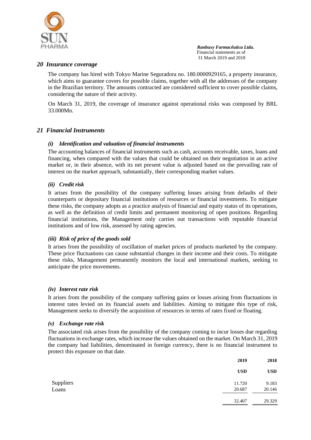

#### *20 Insurance coverage*

The company has hired with Tokyo Marine Seguradora no. 180.0000929165, a property insurance, which aims to guarantee covers for possible claims, together with all the addresses of the company in the Brazilian territory. The amounts contracted are considered sufficient to cover possible claims, considering the nature of their activity.

On March 31, 2019, the coverage of insurance against operational risks was composed by BRL 33.000Mn.

#### *21 Financial Instruments*

#### *(i) Identification and valuation of financial instruments*

The accounting balances of financial instruments such as cash, accounts receivable, taxes, loans and financing, when compared with the values that could be obtained on their negotiation in an active market or, in their absence, with its net present value is adjusted based on the prevailing rate of interest on the market approach, substantially, their corresponding market values.

#### *(ii) Credit risk*

It arises from the possibility of the company suffering losses arising from defaults of their counterparts or depositary financial institutions of resources or financial investments. To mitigate these risks, the company adopts as a practice analysis of financial and equity status of its operations, as well as the definition of credit limits and permanent monitoring of open positions. Regarding financial institutions, the Management only carries out transactions with reputable financial institutions and of low risk, assessed by rating agencies.

#### *(iii) Risk of price of the goods sold*

It arises from the possibility of oscillation of market prices of products marketed by the company. These price fluctuations can cause substantial changes in their income and their costs. To mitigate these risks, Management permanently monitors the local and international markets, seeking to anticipate the price movements.

#### *(iv) Interest rate risk*

It arises from the possibility of the company suffering gains or losses arising from fluctuations in interest rates levied on its financial assets and liabilities. Aiming to mitigate this type of risk, Management seeks to diversify the acquisition of resources in terms of rates fixed or floating.

#### *(v) Exchange rate risk*

The associated risk arises from the possibility of the company coming to incur losses due regarding fluctuations in exchange rates, which increase the values obtained on the market. On March 31, 2019 the company had liabilities, denominated in foreign currency, there is no financial instrument to protect this exposure on that date.

|           | 2019       | 2018       |
|-----------|------------|------------|
|           | <b>USD</b> | <b>USD</b> |
| Suppliers | 11.720     | 9.183      |
| Loans     | 20.687     | 20.146     |
|           | 32.407     | 29.329     |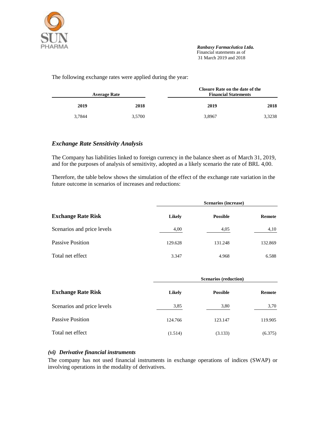

The following exchange rates were applied during the year:

|        | Closure Rate on the date of the<br><b>Financial Statements</b> | <b>Average Rate</b> |        |
|--------|----------------------------------------------------------------|---------------------|--------|
| 2018   | 2019                                                           | 2018                | 2019   |
| 3,3238 | 3,8967                                                         | 3.5700              | 3.7844 |

#### *Exchange Rate Sensitivity Analysis*

The Company has liabilities linked to foreign currency in the balance sheet as of March 31, 2019, and for the purposes of analysis of sensitivity, adopted as a likely scenario the rate of BRL 4,00.

Therefore, the table below shows the simulation of the effect of the exchange rate variation in the future outcome in scenarios of increases and reductions:

| <b>Exchange Rate Risk</b>  |         | Scenarios (increase) |         |
|----------------------------|---------|----------------------|---------|
|                            | Likely  | <b>Possible</b>      | Remote  |
| Scenarios and price levels | 4,00    | 4,05                 | 4,10    |
| Passive Position           | 129.628 | 131.248              | 132.869 |
| Total net effect           | 3.347   | 4.968                | 6.588   |

|                            |         | <b>Scenarios (reduction)</b> |         |
|----------------------------|---------|------------------------------|---------|
| <b>Exchange Rate Risk</b>  | Likely  | <b>Possible</b>              | Remote  |
| Scenarios and price levels | 3,85    | 3,80                         | 3,70    |
| Passive Position           | 124.766 | 123.147                      | 119.905 |
| Total net effect           | (1.514) | (3.133)                      | (6.375) |

#### *(vi) Derivative financial instruments*

The company has not used financial instruments in exchange operations of indices (SWAP) or involving operations in the modality of derivatives.